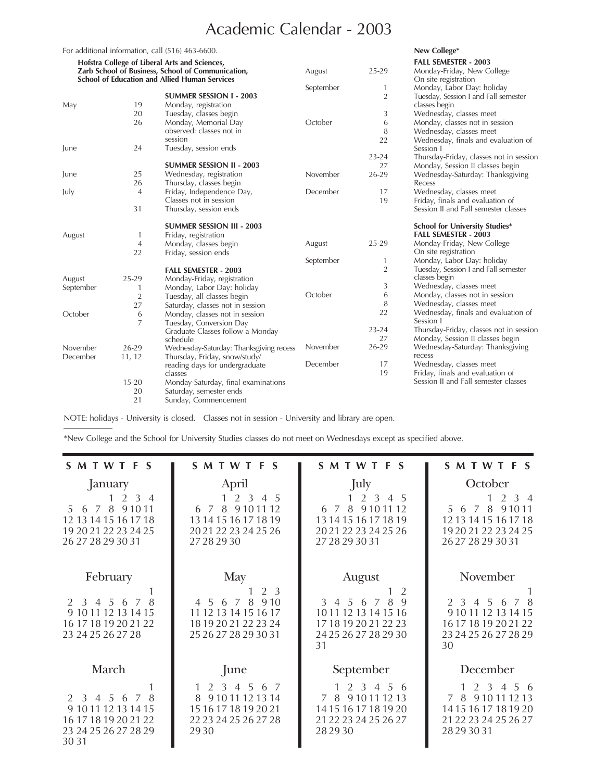## Academic Calendar - 2003

|                                                                                                           |                | For additional information, call (516) 463-6600. |           |                | New College*                                                             |
|-----------------------------------------------------------------------------------------------------------|----------------|--------------------------------------------------|-----------|----------------|--------------------------------------------------------------------------|
| Hofstra College of Liberal Arts and Sciences,                                                             |                |                                                  |           |                | <b>FALL SEMESTER - 2003</b>                                              |
| Zarb School of Business, School of Communication,<br><b>School of Education and Allied Human Services</b> |                |                                                  | August    | 25-29          | Monday-Friday, New College<br>On site registration                       |
|                                                                                                           |                |                                                  | September | 1              | Monday, Labor Day: holiday                                               |
|                                                                                                           |                | <b>SUMMER SESSION 1 - 2003</b>                   |           | $\overline{2}$ | Tuesday, Session I and Fall semester                                     |
| May                                                                                                       | 19             | Monday, registration                             |           |                | classes begin                                                            |
|                                                                                                           | 20             | Tuesday, classes begin                           |           | 3              | Wednesday, classes meet                                                  |
|                                                                                                           | 26             | Monday, Memorial Day                             | October   | 6              | Monday, classes not in session                                           |
|                                                                                                           |                | observed: classes not in                         |           | 8              | Wednesday, classes meet                                                  |
|                                                                                                           |                | session                                          |           | 22             | Wednesday, finals and evaluation of                                      |
| June                                                                                                      | 24             | Tuesday, session ends                            |           |                | Session 1                                                                |
|                                                                                                           |                |                                                  |           | $23 - 24$      | Thursday-Friday, classes not in session                                  |
|                                                                                                           |                | <b>SUMMER SESSION II - 2003</b>                  |           | 27             | Monday, Session II classes begin                                         |
| June                                                                                                      | 25             | Wednesday, registration                          | November  | 26-29          | Wednesday-Saturday: Thanksgiving                                         |
|                                                                                                           | 26             | Thursday, classes begin                          |           |                | Recess                                                                   |
| July                                                                                                      | $\overline{4}$ | Friday, Independence Day,                        | December  | 17             | Wednesday, classes meet                                                  |
|                                                                                                           |                | Classes not in session                           |           | 19             | Friday, finals and evaluation of                                         |
|                                                                                                           | 31             | Thursday, session ends                           |           |                | Session II and Fall semester classes                                     |
|                                                                                                           |                | <b>SUMMER SESSION III - 2003</b>                 |           |                | <b>School for University Studies*</b>                                    |
| August                                                                                                    | 1              | Friday, registration                             |           |                | <b>FALL SEMESTER - 2003</b>                                              |
|                                                                                                           | $\overline{4}$ | Monday, classes begin                            | August    | 25-29          | Monday-Friday, New College                                               |
|                                                                                                           | 22             | Friday, session ends                             |           |                | On site registration                                                     |
|                                                                                                           |                |                                                  | September | 1              | Monday, Labor Day: holiday                                               |
|                                                                                                           |                | <b>FALL SEMESTER - 2003</b>                      |           | $\overline{2}$ | Tuesday, Session I and Fall semester                                     |
| August                                                                                                    | 25-29          | Monday-Friday, registration                      |           |                | classes begin                                                            |
| September                                                                                                 | 1              | Monday, Labor Day: holiday                       | October   | 3              | Wednesday, classes meet                                                  |
|                                                                                                           | $\overline{2}$ | Tuesday, all classes begin                       |           | 6              | Monday, classes not in session                                           |
|                                                                                                           | 27             | Saturday, classes not in session                 |           | 8              | Wednesday, classes meet                                                  |
| October                                                                                                   | 6              | Monday, classes not in session                   |           | 22             | Wednesday, finals and evaluation of                                      |
|                                                                                                           | 7              | Tuesday, Conversion Day                          |           |                | Session 1                                                                |
|                                                                                                           |                | Graduate Classes follow a Monday                 |           | $23 - 24$      | Thursday-Friday, classes not in session                                  |
|                                                                                                           |                | schedule                                         |           | 27             | Monday, Session II classes begin                                         |
| November                                                                                                  | 26-29          | Wednesday-Saturday: Thanksgiving recess          | November  | 26-29          | Wednesday-Saturday: Thanksgiving                                         |
| December                                                                                                  | 11, 12         | Thursday, Friday, snow/study/                    | December  |                | recess                                                                   |
|                                                                                                           |                | reading days for undergraduate                   |           | 17             | Wednesday, classes meet                                                  |
|                                                                                                           |                | classes                                          |           | 19             | Friday, finals and evaluation of<br>Session II and Fall semester classes |
|                                                                                                           | $15 - 20$      | Monday-Saturday, final examinations              |           |                |                                                                          |
|                                                                                                           | 20<br>21       | Saturday, semester ends<br>Sunday, Commencement  |           |                |                                                                          |
|                                                                                                           |                |                                                  |           |                |                                                                          |

NOTE: holidays - University is closed. Classes not in session - University and library are open.

\*New College and the School for University Studies classes do not meet on Wednesdays except as specified above.

| SMTWTFS                                                                                                                             | SMTWTFS                                                                                                 | <b>SMTWTFS</b>                                                                                                              | <b>SMTWTFS</b>                                                                                                                               |
|-------------------------------------------------------------------------------------------------------------------------------------|---------------------------------------------------------------------------------------------------------|-----------------------------------------------------------------------------------------------------------------------------|----------------------------------------------------------------------------------------------------------------------------------------------|
| January<br>$1 \t2 \t3 \t4$<br>6 7 8 9 10 11<br>.5.<br>12 13 14 15 16 17 18<br>19 20 21 22 23 24 25<br>26 27 28 29 30 31             | April<br>2 3 4 5<br>6 7 8 9 10 11 12<br>13 14 15 16 17 18 19<br>20 21 22 23 24 25 26<br>27 28 29 30     | July<br>2 3 4 5<br>6 7 8 9 10 11 12<br>13 14 15 16 17 18 19<br>20 21 22 23 24 25 26<br>27 28 29 30 31                       | October<br>$2 \t3 \t4$<br>5 6 7 8 9 10 11<br>12 13 14 15 16 17 18<br>19 20 21 22 23 24 25<br>26 27 28 29 30 31                               |
| February<br>8<br>3 4 5 6<br>$\overline{7}$<br>$\mathcal{P}$<br>9 10 11 12 13 14 15<br>16 17 18 19 20 21 22<br>23 24 25 26 27 28     | May<br>2 3<br>4 5 6 7 8<br>9.10<br>11 12 13 14 15 16 17<br>18 19 20 21 22 23 24<br>25 26 27 28 29 30 31 | August<br>2<br>$\mathbf{Q}$<br>8<br>3 4 5 6 7<br>10 11 12 13 14 15 16<br>17 18 19 20 21 22 23<br>24 25 26 27 28 29 30<br>31 | November<br>3 4 5<br>$\mathcal{P}$<br>-8<br>6<br>7<br>9 10 11 12 13 14 15<br>16 17 18 19 20 21 22<br>23 24 25 26 27 28 29<br>30              |
| March<br>$2 \t3 \t4 \t5 \t6$<br>8<br>$\overline{7}$<br>9 10 11 12 13 14 15<br>16 17 18 19 20 21 22<br>23 24 25 26 27 28 29<br>30 31 | June<br>2 3 4 5<br>67<br>8<br>9 10 11 12 13 14<br>15 16 17 18 19 20 21<br>22 23 24 25 26 27 28<br>29.30 | September<br>2 3 4 5 6<br>9 10 11 12 13<br>$\overline{7}$<br>-8<br>14 15 16 17 18 19 20<br>21 22 23 24 25 26 27<br>282930   | December<br>2 <sup>3</sup><br>56<br>$\overline{4}$<br>7<br>9 10 11 12 13<br>8<br>14 15 16 17 18 19 20<br>21 22 23 24 25 26 27<br>28 29 30 31 |